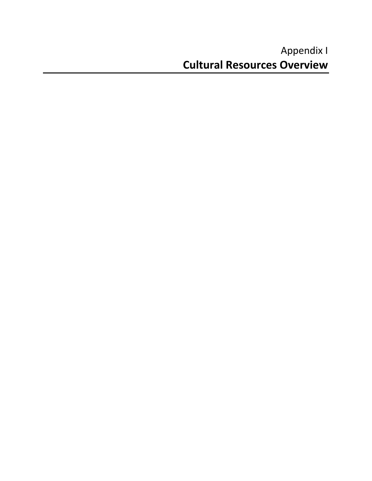# Appendix I **Cultural Resources Overview**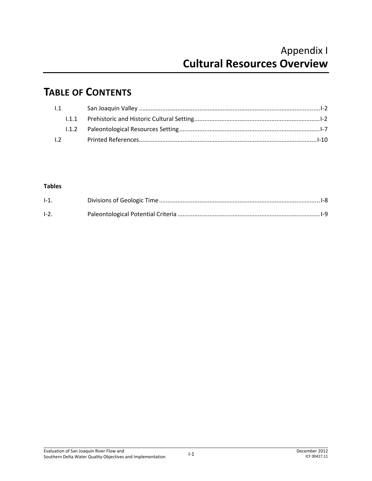## **TABLE OF CONTENTS**

| 1.1 |  |  |
|-----|--|--|
|     |  |  |
|     |  |  |
| 1.2 |  |  |

#### **Tables**

| $I-1$ . |  |
|---------|--|
| $I-2$ . |  |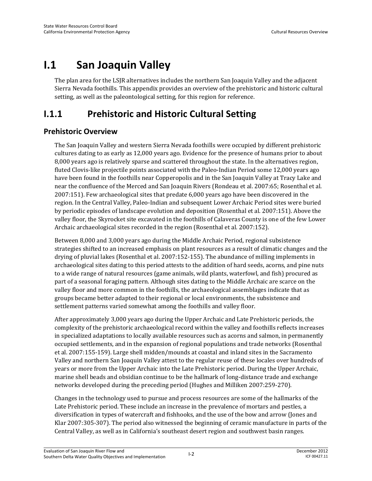# **I.1 San Joaquin Valley**

The plan area for the LSJR alternatives includes the northern San Joaquin Valley and the adjacent Sierra Nevada foothills. This appendix provides an overview of the prehistoric and historic cultural setting, as well as the paleontological setting, for this region for reference.

## **I.1.1 Prehistoric and Historic Cultural Setting**

### **Prehistoric Overview**

The San Joaquin Valley and western Sierra Nevada foothills were occupied by different prehistoric cultures dating to as early as 12,000 years ago. Evidence for the presence of humans prior to about 8,000 years ago is relatively sparse and scattered throughout the state. In the alternatives region, fluted Clovis-like projectile points associated with the Paleo-Indian Period some 12,000 years ago have been found in the foothills near Copperopolis and in the San Joaquin Valley at Tracy Lake and near the confluence of the Merced and San Joaquin Rivers (Rondeau et al. 2007:65; Rosenthal et al. 2007:151). Few archaeological sites that predate 6,000 years ago have been discovered in the region. In the Central Valley, Paleo-Indian and subsequent Lower Archaic Period sites were buried by periodic episodes of landscape evolution and deposition (Rosenthal et al. 2007:151). Above the valley floor, the Skyrocket site excavated in the foothills of Calaveras County is one of the few Lower Archaic archaeological sites recorded in the region (Rosenthal et al. 2007:152).

Between 8,000 and 3,000 years ago during the Middle Archaic Period, regional subsistence strategies shifted to an increased emphasis on plant resources as a result of climatic changes and the drying of pluvial lakes (Rosenthal et al. 2007:152-155). The abundance of milling implements in archaeological sites dating to this period attests to the addition of hard seeds, acorns, and pine nuts to a wide range of natural resources (game animals, wild plants, waterfowl, and fish) procured as part of a seasonal foraging pattern. Although sites dating to the Middle Archaic are scarce on the valley floor and more common in the foothills, the archaeological assemblages indicate that as groups became better adapted to their regional or local environments, the subsistence and settlement patterns varied somewhat among the foothills and valley floor.

After approximately 3,000 years ago during the Upper Archaic and Late Prehistoric periods, the complexity of the prehistoric archaeological record within the valley and foothills reflects increases in specialized adaptations to locally available resources such as acorns and salmon, in permanently occupied settlements, and in the expansion of regional populations and trade networks (Rosenthal et al. 2007:155-159). Large shell midden/mounds at coastal and inland sites in the Sacramento Valley and northern San Joaquin Valley attest to the regular reuse of these locales over hundreds of years or more from the Upper Archaic into the Late Prehistoric period. During the Upper Archaic, marine shell beads and obsidian continue to be the hallmark of long-distance trade and exchange networks developed during the preceding period (Hughes and Milliken 2007:259-270).

Changes in the technology used to pursue and process resources are some of the hallmarks of the Late Prehistoric period. These include an increase in the prevalence of mortars and pestles, a diversification in types of watercraft and fishhooks, and the use of the bow and arrow (Jones and Klar 2007:305-307). The period also witnessed the beginning of ceramic manufacture in parts of the Central Valley, as well as in California's southeast desert region and southwest basin ranges.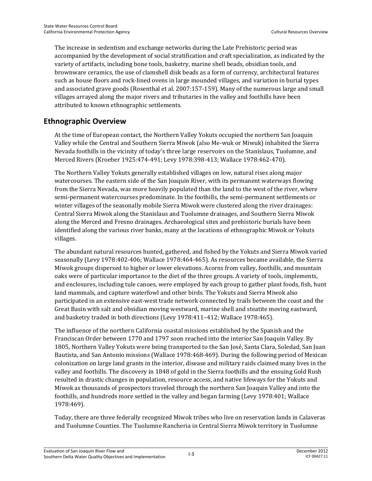The increase in sedentism and exchange networks during the Late Prehistoric period was accompanied by the development of social stratification and craft specialization, as indicated by the variety of artifacts, including bone tools, basketry, marine shell beads, obsidian tools, and brownware ceramics, the use of clamshell disk beads as a form of currency, architectural features such as house floors and rock-lined ovens in large mounded villages, and variation in burial types and associated grave goods (Rosenthal et al. 2007:157-159). Many of the numerous large and small villages arrayed along the major rivers and tributaries in the valley and foothills have been attributed to known ethnographic settlements.

### **Ethnographic Overview**

At the time of European contact, the Northern Valley Yokuts occupied the northern San Joaquin Valley while the Central and Southern Sierra Miwok (also Me-wuk or Miwuk) inhabited the Sierra Nevada foothills in the vicinity of today's three large reservoirs on the Stanislaus, Tuolumne, and Merced Rivers (Kroeber 1925:474-491; Levy 1978:398-413; Wallace 1978:462-470).

The Northern Valley Yokuts generally established villages on low, natural rises along major watercourses. The eastern side of the San Joaquin River, with its permanent waterways flowing from the Sierra Nevada, was more heavily populated than the land to the west of the river, where semi-permanent watercourses predominate. In the foothills, the semi-permanent settlements or winter villages of the seasonally mobile Sierra Miwok were clustered along the river drainages: Central Sierra Miwok along the Stanislaus and Tuolumne drainages, and Southern Sierra Miwok along the Merced and Fresno drainages. Archaeological sites and prehistoric burials have been identified along the various river banks, many at the locations of ethnographic Miwok or Yokuts villages.

The abundant natural resources hunted, gathered, and fished by the Yokuts and Sierra Miwok varied seasonally (Levy 1978:402-406; Wallace 1978:464-465). As resources became available, the Sierra Miwok groups dispersed to higher or lower elevations. Acorns from valley, foothills, and mountain oaks were of particular importance to the diet of the three groups. A variety of tools, implements, and enclosures, including tule canoes, were employed by each group to gather plant foods, fish, hunt land mammals, and capture waterfowl and other birds. The Yokuts and Sierra Miwok also participated in an extensive east-west trade network connected by trails between the coast and the Great Basin with salt and obsidian moving westward, marine shell and steatite moving eastward, and basketry traded in both directions (Levy 1978:411–412; Wallace 1978:465).

The influence of the northern California coastal missions established by the Spanish and the Franciscan Order between 1770 and 1797 soon reached into the interior San Joaquin Valley. By 1805, Northern Valley Yokuts were being transported to the San José, Santa Clara, Soledad, San Juan Bautista, and San Antonio missions (Wallace 1978:468-469). During the following period of Mexican colonization on large land grants in the interior, disease and military raids claimed many lives in the valley and foothills. The discovery in 1848 of gold in the Sierra foothills and the ensuing Gold Rush resulted in drastic changes in population, resource access, and native lifeways for the Yokuts and Miwok as thousands of prospectors traveled through the northern San Joaquin Valley and into the foothills, and hundreds more settled in the valley and began farming (Levy 1978:401; Wallace 1978:469).

Today, there are three federally recognized Miwok tribes who live on reservation lands in Calaveras and Tuolumne Counties. The Tuolumne Rancheria in Central Sierra Miwok territory in Tuolumne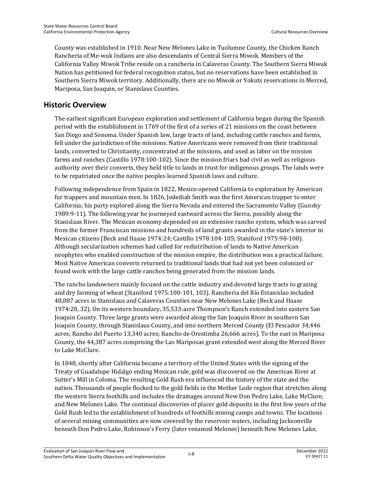County was established in 1910. Near New Melones Lake in Tuolumne County, the Chicken Ranch Rancheria of Me-wuk Indians are also descendants of Central Sierra Miwok. Members of the California Valley Miwok Tribe reside on a rancheria in Calaveras County. The Southern Sierra Miwuk Nation has petitioned for federal recognition status, but no reservations have been established in Southern Sierra Miwok territory. Additionally, there are no Miwok or Yokuts reservations in Merced, Mariposa, San Joaquin, or Stanislaus Counties.

### **Historic Overview**

The earliest significant European exploration and settlement of California began during the Spanish period with the establishment in 1769 of the first of a series of 21 missions on the coast between San Diego and Sonoma. Under Spanish law, large tracts of land, including cattle ranches and farms, fell under the jurisdiction of the missions. Native Americans were removed from their traditional lands, converted to Christianity, concentrated at the missions, and used as labor on the mission farms and ranches (Castillo 1978:100-102). Since the mission friars had civil as well as religious authority over their converts, they held title to lands in trust for indigenous groups. The lands were to be repatriated once the native peoples learned Spanish laws and culture.

Following independence from Spain in 1822, Mexico opened California to exploration by American fur trappers and mountain men. In 1826, Jedediah Smith was the first American trapper to enter California; his party explored along the Sierra Nevada and entered the Sacramento Valley (Gunsky 1989:9-11). The following year he journeyed eastward across the Sierra, possibly along the Stanislaus River. The Mexican economy depended on an extensive rancho system, which was carved from the former Franciscan missions and hundreds of land grants awarded in the state's interior to Mexican citizens (Beck and Haase 1974:24; Castillo 1978:104-105; Staniford 1975:98-100). Although secularization schemes had called for redistribution of lands to Native American neophytes who enabled construction of the mission empire, the distribution was a practical failure. Most Native American converts returned to traditional lands that had not yet been colonized or found work with the large cattle ranchos being generated from the mission lands.

The rancho landowners mainly focused on the cattle industry and devoted large tracts to grazing and dry farming of wheat (Staniford 1975:100-101, 103). Rancheria del Río Estanislao included 48,887 acres in Stanislaus and Calaveras Counties near New Melones Lake (Beck and Haase 1974:28, 32). On its western boundary, 35,533-acre Thompson's Ranch extended into eastern San Joaquin County. Three large grants were awarded along the San Joaquin River in southern San Joaquin County, through Stanislaus County, and into northern Merced County (El Pescador 34,446 acres; Rancho del Puerto 13,340 acres; Rancho de Orestimba 26,666 acres). To the east in Mariposa County, the 44,387 acres comprising the Las Mariposas grant extended west along the Merced River to Lake McClure.

In 1848, shortly after California became a territory of the United States with the signing of the Treaty of Guadalupe Hidalgo ending Mexican rule, gold was discovered on the American River at Sutter's Mill in Coloma. The resulting Gold Rush era influenced the history of the state and the nation. Thousands of people flocked to the gold fields in the Mother Lode region that stretches along the western Sierra foothills and includes the drainages around New Don Pedro Lake, Lake McClure, and New Melones Lake. The continual discoveries of placer gold deposits in the first few years of the Gold Rush led to the establishment of hundreds of foothills mining camps and towns. The locations of several mining communities are now covered by the reservoir waters, including Jacksonville beneath Don Pedro Lake, Robinson's Ferry (later renamed Melones) beneath New Melones Lake,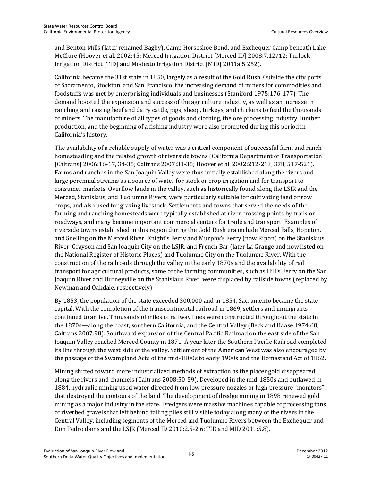and Benton Mills (later renamed Bagby), Camp Horseshoe Bend, and Exchequer Camp beneath Lake McClure (Hoover et al. 2002:45; Merced Irrigation District [Merced ID] 2008:7.12/12; Turlock Irrigation District [TID] and Modesto Irrigation District [MID] 2011a:5.252).

California became the 31st state in 1850, largely as a result of the Gold Rush. Outside the city ports of Sacramento, Stockton, and San Francisco, the increasing demand of miners for commodities and foodstuffs was met by enterprising individuals and businesses (Staniford 1975:176-177). The demand boosted the expansion and success of the agriculture industry, as well as an increase in ranching and raising beef and dairy cattle, pigs, sheep, turkeys, and chickens to feed the thousands of miners. The manufacture of all types of goods and clothing, the ore processing industry, lumber production, and the beginning of a fishing industry were also prompted during this period in California's history.

The availability of a reliable supply of water was a critical component of successful farm and ranch homesteading and the related growth of riverside towns (California Department of Transportation [Caltrans] 2006:16-17, 34-35; Caltrans 2007:31-35; Hoover et al. 2002:212-213, 378, 517-521). Farms and ranches in the San Joaquin Valley were thus initially established along the rivers and large perennial streams as a source of water for stock or crop irrigation and for transport to consumer markets. Overflow lands in the valley, such as historically found along the LSJR and the Merced, Stanislaus, and Tuolumne Rivers, were particularly suitable for cultivating feed or row crops, and also used for grazing livestock. Settlements and towns that served the needs of the farming and ranching homesteads were typically established at river crossing points by trails or roadways, and many became important commercial centers for trade and transport. Examples of riverside towns established in this region during the Gold Rush era include Merced Falls, Hopeton, and Snelling on the Merced River, Knight's Ferry and Murphy's Ferry (now Ripon) on the Stanislaus River, Grayson and San Joaquin City on the LSJR, and French Bar (later La Grange and now listed on the National Register of Historic Places) and Tuolumne City on the Tuolumne River. With the construction of the railroads through the valley in the early 1870s and the availability of rail transport for agricultural products, some of the farming communities, such as Hill's Ferry on the San Joaquin River and Burneyville on the Stanislaus River, were displaced by railside towns (replaced by Newman and Oakdale, respectively).

By 1853, the population of the state exceeded 300,000 and in 1854, Sacramento became the state capital. With the completion of the transcontinental railroad in 1869, settlers and immigrants continued to arrive. Thousands of miles of railway lines were constructed throughout the state in the 1870s—along the coast, southern California, and the Central Valley (Beck and Haase 1974:68; Caltrans 2007:98). Southward expansion of the Central Pacific Railroad on the east side of the San Joaquin Valley reached Merced County in 1871. A year later the Southern Pacific Railroad completed its line through the west side of the valley. Settlement of the American West was also encouraged by the passage of the Swampland Acts of the mid-1800s to early 1900s and the Homestead Act of 1862.

Mining shifted toward more industrialized methods of extraction as the placer gold disappeared along the rivers and channels (Caltrans 2008:50-59). Developed in the mid-1850s and outlawed in 1884, hydraulic mining used water directed from low pressure nozzles or high pressure "monitors" that destroyed the contours of the land. The development of dredge mining in 1898 renewed gold mining as a major industry in the state. Dredgers were massive machines capable of processing tons of riverbed gravels that left behind tailing piles still visible today along many of the rivers in the Central Valley, including segments of the Merced and Tuolumne Rivers between the Exchequer and Don Pedro dams and the LSJR (Merced ID 2010:2.5-2.6; TID and MID 2011:5.8).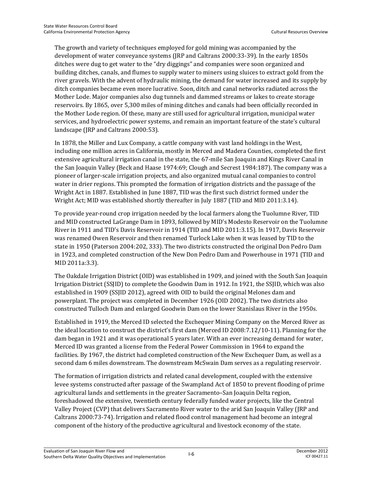The growth and variety of techniques employed for gold mining was accompanied by the development of water conveyance systems (JRP and Caltrans 2000:33-39). In the early 1850s ditches were dug to get water to the "dry diggings" and companies were soon organized and building ditches, canals, and flumes to supply water to miners using sluices to extract gold from the river gravels. With the advent of hydraulic mining, the demand for water increased and its supply by ditch companies became even more lucrative. Soon, ditch and canal networks radiated across the Mother Lode. Major companies also dug tunnels and dammed streams or lakes to create storage reservoirs. By 1865, over 5,300 miles of mining ditches and canals had been officially recorded in the Mother Lode region. Of these, many are still used for agricultural irrigation, municipal water services, and hydroelectric power systems, and remain an important feature of the state's cultural landscape (JRP and Caltrans 2000:53).

In 1878, the Miller and Lux Company, a cattle company with vast land holdings in the West, including one million acres in California, mostly in Merced and Madera Counties, completed the first extensive agricultural irrigation canal in the state, the 67-mile San Joaquin and Kings River Canal in the San Joaquin Valley (Beck and Haase 1974:69; Clough and Secrest 1984:187). The company was a pioneer of larger-scale irrigation projects, and also organized mutual canal companies to control water in drier regions. This prompted the formation of irrigation districts and the passage of the Wright Act in 1887. Established in June 1887, TID was the first such district formed under the Wright Act; MID was established shortly thereafter in July 1887 (TID and MID 2011:3.14).

To provide year-round crop irrigation needed by the local farmers along the Tuolumne River, TID and MID constructed LaGrange Dam in 1893, followed by MID's Modesto Reservoir on the Tuolumne River in 1911 and TID's Davis Reservoir in 1914 (TID and MID 2011:3.15). In 1917, Davis Reservoir was renamed Owen Reservoir and then renamed Turlock Lake when it was leased by TID to the state in 1950 (Paterson 2004:202, 333). The two districts constructed the original Don Pedro Dam in 1923, and completed construction of the New Don Pedro Dam and Powerhouse in 1971 (TID and MID 2011a:3.3).

The Oakdale Irrigation District (OID) was established in 1909, and joined with the South San Joaquin Irrigation District (SSJID) to complete the Goodwin Dam in 1912. In 1921, the SSJID, which was also established in 1909 (SSJID 2012), agreed with OID to build the original Melones dam and powerplant. The project was completed in December 1926 (OID 2002). The two districts also constructed Tulloch Dam and enlarged Goodwin Dam on the lower Stanislaus River in the 1950s.

Established in 1919, the Merced ID selected the Exchequer Mining Company on the Merced River as the ideal location to construct the district's first dam (Merced ID 2008:7.12/10-11). Planning for the dam began in 1921 and it was operational 5 years later. With an ever increasing demand for water, Merced ID was granted a license from the Federal Power Commission in 1964 to expand the facilities. By 1967, the district had completed construction of the New Exchequer Dam, as well as a second dam 6 miles downstream. The downstream McSwain Dam serves as a regulating reservoir.

The formation of irrigation districts and related canal development, coupled with the extensive levee systems constructed after passage of the Swampland Act of 1850 to prevent flooding of prime agricultural lands and settlements in the greater Sacramento–San Joaquin Delta region, foreshadowed the extensive, twentieth century federally funded water projects, like the Central Valley Project (CVP) that delivers Sacramento River water to the arid San Joaquin Valley (JRP and Caltrans 2000:73-74). Irrigation and related flood control management had become an integral component of the history of the productive agricultural and livestock economy of the state.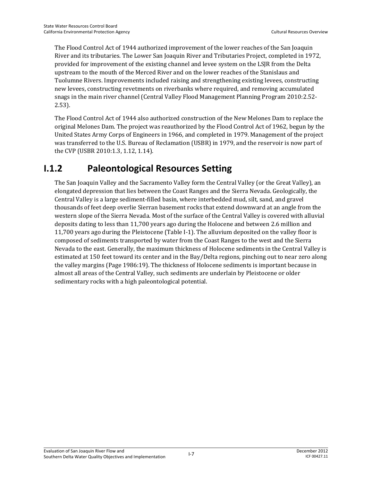The Flood Control Act of 1944 authorized improvement of the lower reaches of the San Joaquin River and its tributaries. The Lower San Joaquin River and Tributaries Project, completed in 1972, provided for improvement of the existing channel and levee system on the LSJR from the Delta upstream to the mouth of the Merced River and on the lower reaches of the Stanislaus and Tuolumne Rivers. Improvements included raising and strengthening existing levees, constructing new levees, constructing revetments on riverbanks where required, and removing accumulated snags in the main river channel (Central Valley Flood Management Planning Program 2010:2.52- 2.53).

The Flood Control Act of 1944 also authorized construction of the New Melones Dam to replace the original Melones Dam. The project was reauthorized by the Flood Control Act of 1962, begun by the United States Army Corps of Engineers in 1966, and completed in 1979. Management of the project was transferred to the U.S. Bureau of Reclamation (USBR) in 1979, and the reservoir is now part of the CVP (USBR 2010:1.3, 1.12, 1.14).

### **I.1.2 Paleontological Resources Setting**

The San Joaquin Valley and the Sacramento Valley form the Central Valley (or the Great Valley), an elongated depression that lies between the Coast Ranges and the Sierra Nevada. Geologically, the Central Valley is a large sediment-filled basin, where interbedded mud, silt, sand, and gravel thousands of feet deep overlie Sierran basement rocks that extend downward at an angle from the western slope of the Sierra Nevada. Most of the surface of the Central Valley is covered with alluvial deposits dating to less than 11,700 years ago during the Holocene and between 2.6 million and 11,700 years ago during the Pleistocene (Table I-1). The alluvium deposited on the valley floor is composed of sediments transported by water from the Coast Ranges to the west and the Sierra Nevada to the east. Generally, the maximum thickness of Holocene sediments in the Central Valley is estimated at 150 feet toward its center and in the Bay/Delta regions, pinching out to near zero along the valley margins (Page 1986:19). The thickness of Holocene sediments is important because in almost all areas of the Central Valley, such sediments are underlain by Pleistocene or older sedimentary rocks with a high paleontological potential.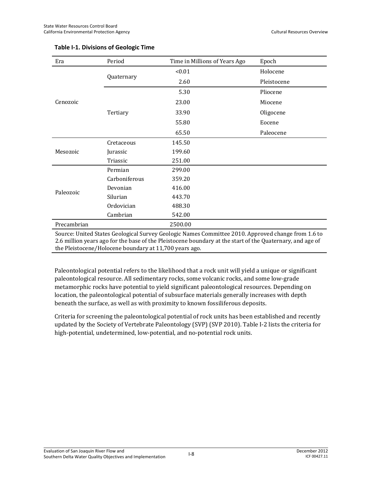| Era         | Period        | Time in Millions of Years Ago | Epoch       |  |
|-------------|---------------|-------------------------------|-------------|--|
|             |               | < 0.01                        | Holocene    |  |
|             | Quaternary    | 2.60                          | Pleistocene |  |
|             |               | 5.30                          | Pliocene    |  |
| Cenozoic    |               | 23.00                         | Miocene     |  |
|             | Tertiary      | 33.90                         | Oligocene   |  |
|             |               | 55.80                         | Eocene      |  |
|             |               | 65.50                         | Paleocene   |  |
|             | Cretaceous    | 145.50                        |             |  |
| Mesozoic    | Jurassic      | 199.60                        |             |  |
|             | Triassic      | 251.00                        |             |  |
|             | Permian       | 299.00                        |             |  |
|             | Carboniferous | 359.20                        |             |  |
|             | Devonian      | 416.00                        |             |  |
| Paleozoic   | Silurian      | 443.70                        |             |  |
|             | Ordovician    | 488.30                        |             |  |
|             | Cambrian      | 542.00                        |             |  |
| Precambrian |               | 2500.00                       |             |  |
|             |               |                               |             |  |

#### **Table I-1. Divisions of Geologic Time**

Source: United States Geological Survey Geologic Names Committee 2010. Approved change from 1.6 to 2.6 million years ago for the base of the Pleistocene boundary at the start of the Quaternary, and age of the Pleistocene/Holocene boundary at 11,700 years ago.

Paleontological potential refers to the likelihood that a rock unit will yield a unique or significant paleontological resource. All sedimentary rocks, some volcanic rocks, and some low-grade metamorphic rocks have potential to yield significant paleontological resources. Depending on location, the paleontological potential of subsurface materials generally increases with depth beneath the surface, as well as with proximity to known fossiliferous deposits.

Criteria for screening the paleontological potential of rock units has been established and recently updated by the Society of Vertebrate Paleontology (SVP) (SVP 2010). Table I-2 lists the criteria for high-potential, undetermined, low-potential, and no-potential rock units.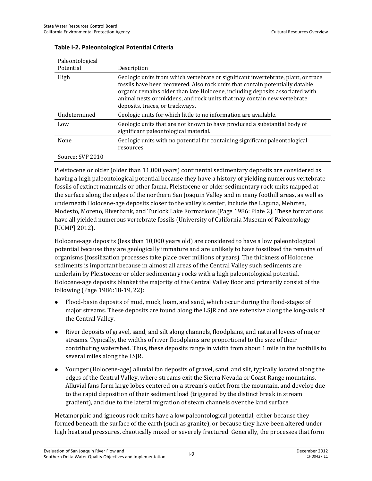| Paleontological  |                                                                                                                                                                                                                                                                                                                                                                  |
|------------------|------------------------------------------------------------------------------------------------------------------------------------------------------------------------------------------------------------------------------------------------------------------------------------------------------------------------------------------------------------------|
| Potential        | Description                                                                                                                                                                                                                                                                                                                                                      |
| High             | Geologic units from which vertebrate or significant invertebrate, plant, or trace<br>fossils have been recovered. Also rock units that contain potentially datable<br>organic remains older than late Holocene, including deposits associated with<br>animal nests or middens, and rock units that may contain new vertebrate<br>deposits, traces, or trackways. |
| Undetermined     | Geologic units for which little to no information are available.                                                                                                                                                                                                                                                                                                 |
| Low              | Geologic units that are not known to have produced a substantial body of<br>significant paleontological material.                                                                                                                                                                                                                                                |
| None             | Geologic units with no potential for containing significant paleontological<br>resources.                                                                                                                                                                                                                                                                        |
| Source: SVP 2010 |                                                                                                                                                                                                                                                                                                                                                                  |

#### **Table I-2. Paleontological Potential Criteria**

Pleistocene or older (older than 11,000 years) continental sedimentary deposits are considered as having a high paleontological potential because they have a history of yielding numerous vertebrate fossils of extinct mammals or other fauna. Pleistocene or older sedimentary rock units mapped at the surface along the edges of the northern San Joaquin Valley and in many foothill areas, as well as underneath Holocene-age deposits closer to the valley's center, include the Laguna, Mehrten, Modesto, Moreno, Riverbank, and Turlock Lake Formations (Page 1986: Plate 2). These formations have all yielded numerous vertebrate fossils (University of California Museum of Paleontology [UCMP] 2012).

Holocene-age deposits (less than 10,000 years old) are considered to have a low paleontological potential because they are geologically immature and are unlikely to have fossilized the remains of organisms (fossilization processes take place over millions of years). The thickness of Holocene sediments is important because in almost all areas of the Central Valley such sediments are underlain by Pleistocene or older sedimentary rocks with a high paleontological potential. Holocene-age deposits blanket the majority of the Central Valley floor and primarily consist of the following (Page 1986:18-19, 22):

- Flood-basin deposits of mud, muck, loam, and sand, which occur during the flood-stages of major streams. These deposits are found along the LSJR and are extensive along the long-axis of the Central Valley.
- River deposits of gravel, sand, and silt along channels, floodplains, and natural levees of major streams. Typically, the widths of river floodplains are proportional to the size of their contributing watershed. Thus, these deposits range in width from about 1 mile in the foothills to several miles along the LSJR.
- Younger (Holocene-age) alluvial fan deposits of gravel, sand, and silt, typically located along the edges of the Central Valley, where streams exit the Sierra Nevada or Coast Range mountains. Alluvial fans form large lobes centered on a stream's outlet from the mountain, and develop due to the rapid deposition of their sediment load (triggered by the distinct break in stream gradient), and due to the lateral migration of steam channels over the land surface.

Metamorphic and igneous rock units have a low paleontological potential, either because they formed beneath the surface of the earth (such as granite), or because they have been altered under high heat and pressures, chaotically mixed or severely fractured. Generally, the processes that form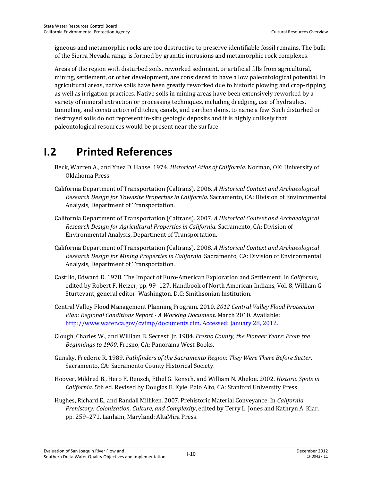igneous and metamorphic rocks are too destructive to preserve identifiable fossil remains. The bulk of the Sierra Nevada range is formed by granitic intrusions and metamorphic rock complexes.

Areas of the region with disturbed soils, reworked sediment, or artificial fills from agricultural, mining, settlement, or other development, are considered to have a low paleontological potential. In agricultural areas, native soils have been greatly reworked due to historic plowing and crop-ripping, as well as irrigation practices. Native soils in mining areas have been extensively reworked by a variety of mineral extraction or processing techniques, including dredging, use of hydraulics, tunneling, and construction of ditches, canals, and earthen dams, to name a few. Such disturbed or destroyed soils do not represent in-situ geologic deposits and it is highly unlikely that paleontological resources would be present near the surface.

## **I.2 Printed References**

- Beck, Warren A., and Ynez D. Haase. 1974*. Historical Atlas of California*. Norman, OK: University of Oklahoma Press.
- California Department of Transportation (Caltrans). 2006. *A Historical Context and Archaeological Research Design for Townsite Properties in California*. Sacramento, CA: Division of Environmental Analysis, Department of Transportation.
- California Department of Transportation (Caltrans). 2007. *A Historical Context and Archaeological Research Design for Agricultural Properties in California*. Sacramento, CA: Division of Environmental Analysis, Department of Transportation.
- California Department of Transportation (Caltrans). 2008. *A Historical Context and Archaeological Research Design for Mining Properties in California*. Sacramento, CA: Division of Environmental Analysis, Department of Transportation.
- Castillo, Edward D. 1978. The Impact of Euro-American Exploration and Settlement*.* In *California*, edited by Robert F. Heizer, pp. 99–127. Handbook of North American Indians, Vol. 8, William G. Sturtevant, general editor. Washington, D.C: Smithsonian Institution.
- Central Valley Flood Management Planning Program. 2010. *2012 Central Valley Flood Protection Plan: Regional Conditions Report - A Working Document*. March 2010. Available: http://www.water.ca.gov/cvfmp/documents.cfm. Accessed: January 28, 2012.
- Clough, Charles W., and William B. Secrest, Jr. 1984. *Fresno County, the Pioneer Years: From the Beginnings to 1900*. Fresno, CA: Panorama West Books.
- Gunsky, Frederic R. 1989. *Pathfinders of the Sacramento Region: They Were There Before Sutter*. Sacramento, CA: Sacramento County Historical Society.
- Hoover, Mildred B., Hero E. Rensch, Ethel G. Rensch, and William N. Abeloe. 2002. *Historic Spots in California*. 5th ed. Revised by Douglas E. Kyle. Palo Alto, CA: Stanford University Press.
- Hughes, Richard E., and Randall Milliken. 2007. Prehistoric Material Conveyance. In *California Prehistory: Colonization, Culture, and Complexity*, edited by Terry L. Jones and Kathryn A. Klar, pp. 259–271. Lanham, Maryland: AltaMira Press.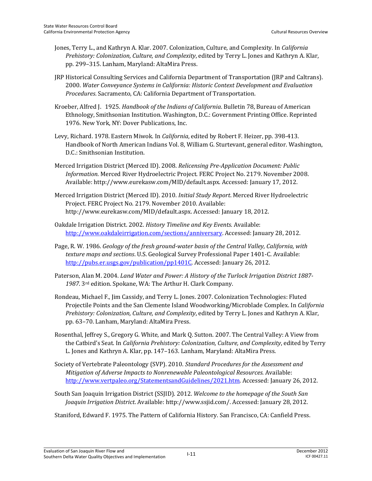- Jones, Terry L., and Kathryn A. Klar. 2007. Colonization, Culture, and Complexity. In *California Prehistory: Colonization, Culture, and Complexity*, edited by Terry L. Jones and Kathryn A. Klar, pp. 299–315. Lanham, Maryland: AltaMira Press.
- JRP Historical Consulting Services and California Department of Transportation (JRP and Caltrans). 2000. *Water Conveyance Systems in California: Historic Context Development and Evaluation Procedures*. Sacramento, CA: California Department of Transportation.
- Kroeber, Alfred J. 1925. *Handbook of the Indians of California*. Bulletin 78, Bureau of American Ethnology, Smithsonian Institution. Washington, D.C.: Government Printing Office. Reprinted 1976. New York, NY: Dover Publications, Inc.
- Levy, Richard. 1978. Eastern Miwok. In *California*, edited by Robert F. Heizer, pp. 398-413. Handbook of North American Indians Vol. 8, William G. Sturtevant, general editor. Washington, D.C.: Smithsonian Institution.
- Merced Irrigation District (Merced ID). 2008. *Relicensing Pre-Application Document: Public Information*. Merced River Hydroelectric Project. FERC Project No. 2179. November 2008. Available: http://www.eurekasw.com/MID/default.aspx. Accessed: January 17, 2012.
- Merced Irrigation District (Merced ID). 2010. *Initial Study Report*. Merced River Hydroelectric Project. FERC Project No. 2179. November 2010. Available: http://www.eurekasw.com/MID/default.aspx. Accessed: January 18, 2012.
- Oakdale Irrigation District. 2002. *History Timeline and Key Events*. Available: http://www.oakdaleirrigation.com/sections/anniversary. Accessed: January 28, 2012.
- Page, R. W. 1986. *Geology of the fresh ground-water basin of the Central Valley, California, with texture maps and sections*. U.S. Geological Survey Professional Paper 1401-C. Available: http://pubs.er.usgs.gov/publication/pp1401C. Accessed: January 26, 2012.
- Paterson, Alan M. 2004. *Land Water and Power: A History of the Turlock Irrigation District 1887- 1987*. 3rd edition. Spokane, WA: The Arthur H. Clark Company.
- Rondeau, Michael F., Jim Cassidy, and Terry L. Jones. 2007. Colonization Technologies: Fluted Projectile Points and the San Clemente Island Woodworking/Microblade Complex. In *California Prehistory: Colonization, Culture, and Complexity*, edited by Terry L. Jones and Kathryn A. Klar, pp. 63–70. Lanham, Maryland: AltaMira Press.
- Rosenthal, Jeffrey S., Gregory G. White, and Mark Q. Sutton. 2007. The Central Valley: A View from the Catbird's Seat. In *California Prehistory: Colonization, Culture, and Complexity*, edited by Terry L. Jones and Kathryn A. Klar, pp. 147–163. Lanham, Maryland: AltaMira Press.
- Society of Vertebrate Paleontology (SVP). 2010. *Standard Procedures for the Assessment and Mitigation of Adverse Impacts to Nonrenewable Paleontological Resources*. Available: http://www.vertpaleo.org/StatementsandGuidelines/2021.htm. Accessed: January 26, 2012.

South San Joaquin Irrigation District (SSJID). 2012. *Welcome to the homepage of the South San Joaquin Irrigation District*. Available: http://www.ssjid.com/. Accessed: January 28, 2012.

Staniford, Edward F. 1975. The Pattern of California History. San Francisco, CA: Canfield Press.